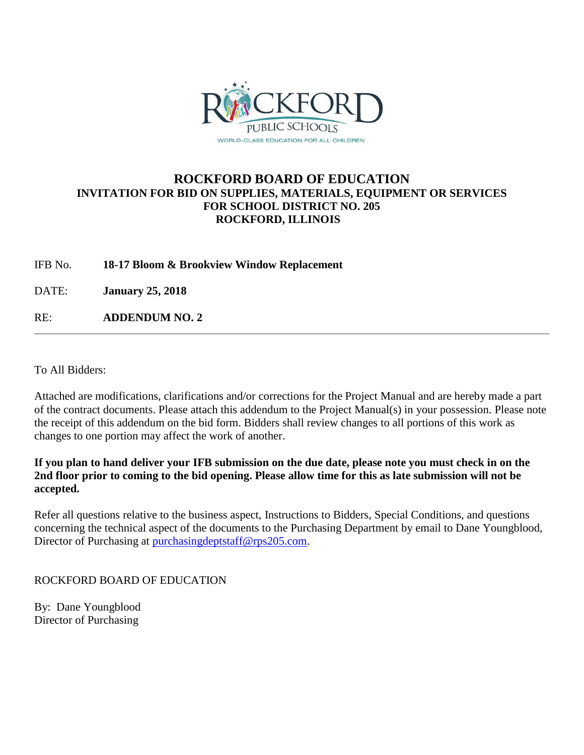

# **ROCKFORD BOARD OF EDUCATION INVITATION FOR BID ON SUPPLIES, MATERIALS, EQUIPMENT OR SERVICES FOR SCHOOL DISTRICT NO. 205 ROCKFORD, ILLINOIS**

IFB No. **18-17 Bloom & Brookview Window Replacement**

DATE: **January 25, 2018**

RE: **ADDENDUM NO. 2**

To All Bidders:

Attached are modifications, clarifications and/or corrections for the Project Manual and are hereby made a part of the contract documents. Please attach this addendum to the Project Manual(s) in your possession. Please note the receipt of this addendum on the bid form. Bidders shall review changes to all portions of this work as changes to one portion may affect the work of another.

**If you plan to hand deliver your IFB submission on the due date, please note you must check in on the 2nd floor prior to coming to the bid opening. Please allow time for this as late submission will not be accepted.**

Refer all questions relative to the business aspect, Instructions to Bidders, Special Conditions, and questions concerning the technical aspect of the documents to the Purchasing Department by email to Dane Youngblood, Director of Purchasing at [purchasingdeptstaff@rps205.com.](mailto:purchasingdeptstaff@rps205.com)

## ROCKFORD BOARD OF EDUCATION

By: Dane Youngblood Director of Purchasing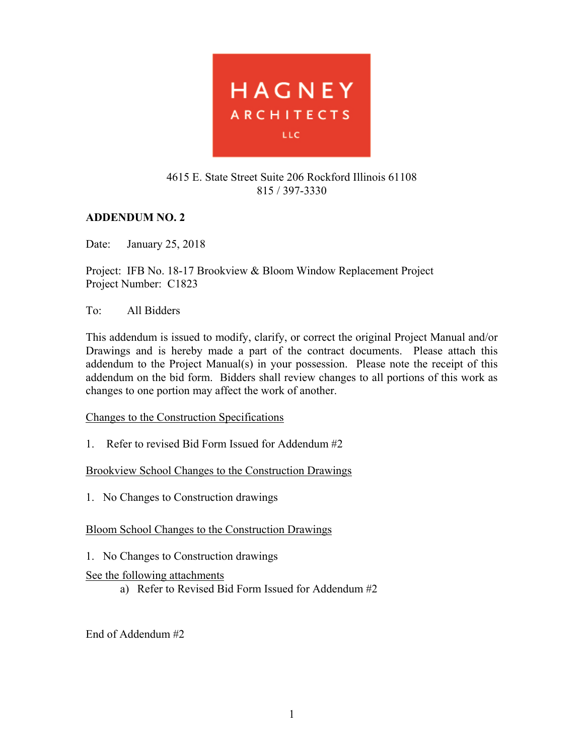

# 4615 E. State Street Suite 206 Rockford Illinois 61108 815 / 397-3330

# **ADDENDUM NO. 2**

Date: January 25, 2018

Project: IFB No. 18-17 Brookview & Bloom Window Replacement Project Project Number: C1823

## To: All Bidders

This addendum is issued to modify, clarify, or correct the original Project Manual and/or Drawings and is hereby made a part of the contract documents. Please attach this addendum to the Project Manual(s) in your possession. Please note the receipt of this addendum on the bid form. Bidders shall review changes to all portions of this work as changes to one portion may affect the work of another.

## Changes to the Construction Specifications

1. Refer to revised Bid Form Issued for Addendum #2

Brookview School Changes to the Construction Drawings

1. No Changes to Construction drawings

# Bloom School Changes to the Construction Drawings

1. No Changes to Construction drawings

# See the following attachments

a) Refer to Revised Bid Form Issued for Addendum #2

End of Addendum #2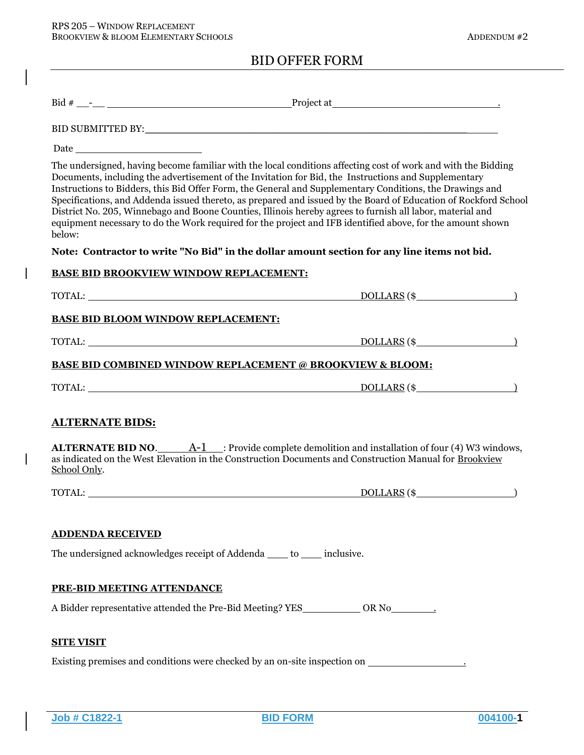|                                                                                                                                                                                                                                | BID SUBMITTED BY: University of the state of the state of the state of the state of the state of the state of the state of the state of the state of the state of the state of the state of the state of the state of the stat                                                                                                                                                                                                                                                                                                                                                                                                                                                  |  |
|--------------------------------------------------------------------------------------------------------------------------------------------------------------------------------------------------------------------------------|---------------------------------------------------------------------------------------------------------------------------------------------------------------------------------------------------------------------------------------------------------------------------------------------------------------------------------------------------------------------------------------------------------------------------------------------------------------------------------------------------------------------------------------------------------------------------------------------------------------------------------------------------------------------------------|--|
| Date <u>and the second second second</u>                                                                                                                                                                                       |                                                                                                                                                                                                                                                                                                                                                                                                                                                                                                                                                                                                                                                                                 |  |
| below:                                                                                                                                                                                                                         | The undersigned, having become familiar with the local conditions affecting cost of work and with the Bidding<br>Documents, including the advertisement of the Invitation for Bid, the Instructions and Supplementary<br>Instructions to Bidders, this Bid Offer Form, the General and Supplementary Conditions, the Drawings and<br>Specifications, and Addenda issued thereto, as prepared and issued by the Board of Education of Rockford School<br>District No. 205, Winnebago and Boone Counties, Illinois hereby agrees to furnish all labor, material and<br>equipment necessary to do the Work required for the project and IFB identified above, for the amount shown |  |
|                                                                                                                                                                                                                                | Note: Contractor to write "No Bid" in the dollar amount section for any line items not bid.                                                                                                                                                                                                                                                                                                                                                                                                                                                                                                                                                                                     |  |
| <b>BASE BID BROOKVIEW WINDOW REPLACEMENT:</b>                                                                                                                                                                                  |                                                                                                                                                                                                                                                                                                                                                                                                                                                                                                                                                                                                                                                                                 |  |
|                                                                                                                                                                                                                                |                                                                                                                                                                                                                                                                                                                                                                                                                                                                                                                                                                                                                                                                                 |  |
| <b>BASE BID BLOOM WINDOW REPLACEMENT:</b>                                                                                                                                                                                      |                                                                                                                                                                                                                                                                                                                                                                                                                                                                                                                                                                                                                                                                                 |  |
| TOTAL: University of the contract of the contract of the contract of the contract of the contract of the contract of the contract of the contract of the contract of the contract of the contract of the contract of the contr | $DOLLARS$ $(*$                                                                                                                                                                                                                                                                                                                                                                                                                                                                                                                                                                                                                                                                  |  |
|                                                                                                                                                                                                                                | <b>BASE BID COMBINED WINDOW REPLACEMENT @ BROOKVIEW &amp; BLOOM:</b>                                                                                                                                                                                                                                                                                                                                                                                                                                                                                                                                                                                                            |  |
| TOTAL: University of the contract of the contract of the contract of the contract of the contract of the contract of the contract of the contract of the contract of the contract of the contract of the contract of the contr | $DOLLARS$ $(*$ $)$                                                                                                                                                                                                                                                                                                                                                                                                                                                                                                                                                                                                                                                              |  |
| <b>ALTERNATE BIDS:</b>                                                                                                                                                                                                         |                                                                                                                                                                                                                                                                                                                                                                                                                                                                                                                                                                                                                                                                                 |  |
| School Only.                                                                                                                                                                                                                   | <b>ALTERNATE BID NO.</b> $A-1$ : Provide complete demolition and installation of four (4) W3 windows,<br>as indicated on the West Elevation in the Construction Documents and Construction Manual for Brookview                                                                                                                                                                                                                                                                                                                                                                                                                                                                 |  |
|                                                                                                                                                                                                                                | $DOLLARS$ (\$                                                                                                                                                                                                                                                                                                                                                                                                                                                                                                                                                                                                                                                                   |  |
| <b>ADDENDA RECEIVED</b>                                                                                                                                                                                                        |                                                                                                                                                                                                                                                                                                                                                                                                                                                                                                                                                                                                                                                                                 |  |
| The undersigned acknowledges receipt of Addenda ____ to ____ inclusive.                                                                                                                                                        |                                                                                                                                                                                                                                                                                                                                                                                                                                                                                                                                                                                                                                                                                 |  |
| PRE-BID MEETING ATTENDANCE                                                                                                                                                                                                     |                                                                                                                                                                                                                                                                                                                                                                                                                                                                                                                                                                                                                                                                                 |  |
|                                                                                                                                                                                                                                | A Bidder representative attended the Pre-Bid Meeting? YES____________ OR No_________.                                                                                                                                                                                                                                                                                                                                                                                                                                                                                                                                                                                           |  |
| <b>SITE VISIT</b>                                                                                                                                                                                                              |                                                                                                                                                                                                                                                                                                                                                                                                                                                                                                                                                                                                                                                                                 |  |
|                                                                                                                                                                                                                                | Existing premises and conditions were checked by an on-site inspection on ______________                                                                                                                                                                                                                                                                                                                                                                                                                                                                                                                                                                                        |  |

**Job # C1822-1 BID FORM 004100-1**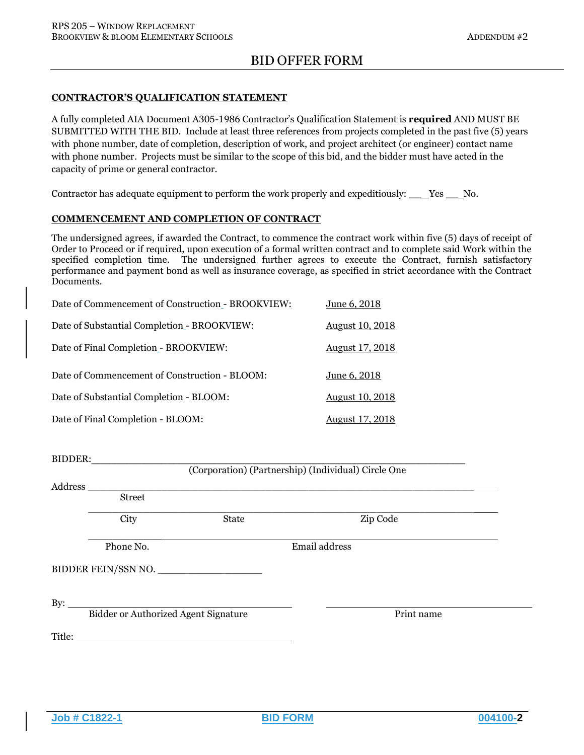### CONTRACTOR'S QUALIFICATION STATEMENT

A fully completed AIA Document A305-1986 Contractor's Qualification Statement is required AND MUST BE SUBMITTED WITH THE BID. Include at least three references from projects completed in the past five (5) years with phone number, date of completion, description of work, and project architect (or engineer) contact name with phone number. Projects must be similar to the scope of this bid, and the bidder must have acted in the capacity of prime or general contractor.

Contractor has adequate equipment to perform the work properly and expeditiously: \_\_ Yes \_\_ No.

### COMMENCEMENT AND COMPLETION OF CONTRACT

The undersigned agrees, if awarded the Contract, to commence the contract work within five (5) days of receipt of Order to Proceed or if required, upon execution of a formal written contract and to complete said Work within the specified completion time. The undersigned further agrees to execute the Contract, furnish satisfactory performance and payment bond as well as insurance coverage, as specified in strict accordance with the Contract Documents.

| Date of Commencement of Construction - BROOKVIEW: | June 6, 2018           |
|---------------------------------------------------|------------------------|
| Date of Substantial Completion - BROOKVIEW:       | <b>August 10, 2018</b> |
| Date of Final Completion - BROOKVIEW:             | <b>August 17, 2018</b> |
| Date of Commencement of Construction - BLOOM:     | June 6, 2018           |
| Date of Substantial Completion - BLOOM:           | <b>August 10, 2018</b> |
| Date of Final Completion - BLOOM:                 | August 17, 2018        |

BIDDER:\_\_\_\_\_\_\_\_\_\_\_\_\_\_\_\_\_\_\_\_\_\_\_\_\_\_\_\_\_\_\_\_\_\_\_\_\_\_\_\_\_\_\_\_\_\_\_\_\_\_\_\_\_\_\_\_\_\_\_\_\_\_\_\_ (Corporation) (Partnership) (Individual) Circle One Address \_\_\_\_\_\_\_\_\_\_\_\_\_\_\_\_\_\_\_\_\_\_\_\_\_\_\_\_\_\_\_\_\_\_\_\_\_\_\_\_\_\_\_\_\_\_\_\_\_\_\_\_\_\_\_\_\_\_\_\_\_\_\_ Street  $\_$  , and the set of the set of the set of the set of the set of the set of the set of the set of the set of the set of the set of the set of the set of the set of the set of the set of the set of the set of the set of th City State Zip Code \_\_\_\_\_\_\_\_\_\_\_\_ Phone No. **Email address** BIDDER FEIN/SSN NO. \_\_\_\_\_\_\_\_\_\_\_\_\_\_\_\_\_ By:  $\overline{\phantom{a}}$ Bidder or Authorized Agent Signature Print name Title:

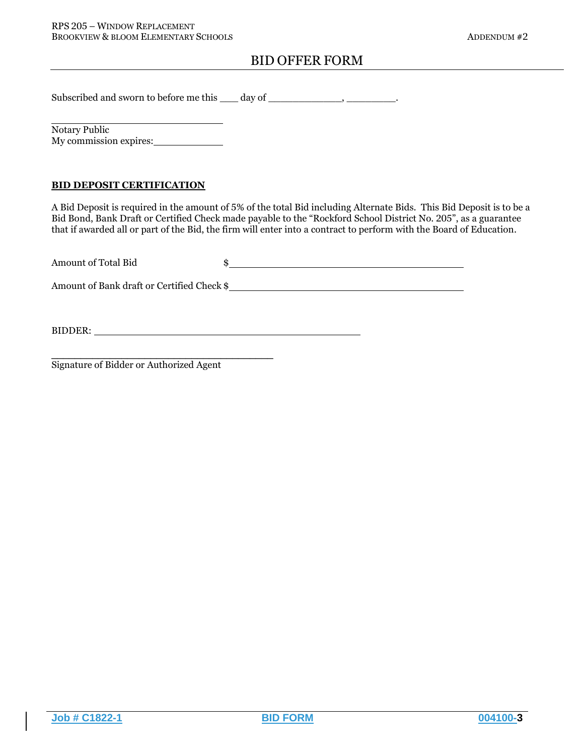Subscribed and sworn to before me this \_\_\_ day of \_\_\_\_\_\_\_\_\_\_\_, \_\_\_\_\_\_\_\_\_.

Notary Public My commission expires:

### BID DEPOSIT CERTIFICATION

A Bid Deposit is required in the amount of 5% of the total Bid including Alternate Bids. This Bid Deposit is to be a Bid Bond, Bank Draft or Certified Check made payable to the "Rockford School District No. 205", as a guarantee that if awarded all or part of the Bid, the firm will enter into a contract to perform with the Board of Education.

| Amount of Total Bid                        |  |
|--------------------------------------------|--|
| Amount of Bank draft or Certified Check \$ |  |

BIDDER: New York Contract the Contract of the Contract of the Contract of the Contract of the Contract of the Contract of the Contract of the Contract of the Contract of the Contract of the Contract of the Contract of the

Signature of Bidder or Authorized Agent

\_\_\_\_\_\_\_\_\_\_\_\_\_\_\_\_\_\_\_\_\_\_\_\_\_\_\_\_\_\_\_\_\_\_\_\_\_\_